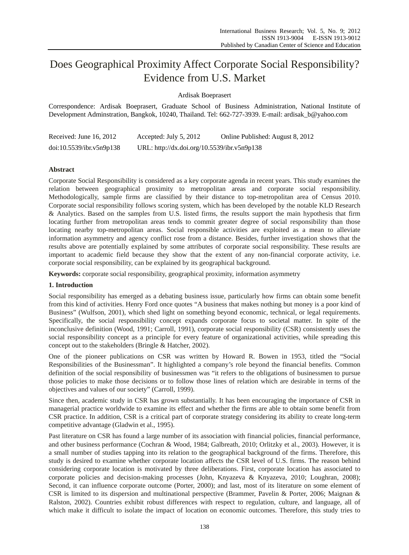# Does Geographical Proximity Affect Corporate Social Responsibility? Evidence from U.S. Market

Ardisak Boeprasert

Correspondence: Ardisak Boeprasert, Graduate School of Business Administration, National Institute of Development Adminstration, Bangkok, 10240, Thailand. Tel: 662-727-3939. E-mail: ardisak\_b@yahoo.com

| Received: June 16, 2012  | Accepted: July 5, 2012                      | Online Published: August 8, 2012 |
|--------------------------|---------------------------------------------|----------------------------------|
| doi:10.5539/ibr.v5n9p138 | URL: http://dx.doi.org/10.5539/ibr.v5n9p138 |                                  |

# **Abstract**

Corporate Social Responsibility is considered as a key corporate agenda in recent years. This study examines the relation between geographical proximity to metropolitan areas and corporate social responsibility. Methodologically, sample firms are classified by their distance to top-metropolitan area of Census 2010. Corporate social responsibility follows scoring system, which has been developed by the notable KLD Research & Analytics. Based on the samples from U.S. listed firms, the results support the main hypothesis that firm locating further from metropolitan areas tends to commit greater degree of social responsibility than those locating nearby top-metropolitan areas. Social responsible activities are exploited as a mean to alleviate information asymmetry and agency conflict rose from a distance. Besides, further investigation shows that the results above are potentially explained by some attributes of corporate social responsibility. These results are important to academic field because they show that the extent of any non-financial corporate activity, i.e. corporate social responsibility, can be explained by its geographical background.

**Keywords:** corporate social responsibility, geographical proximity, information asymmetry

# **1. Introduction**

Social responsibility has emerged as a debating business issue, particularly how firms can obtain some benefit from this kind of activities. Henry Ford once quotes "A business that makes nothing but money is a poor kind of Business" (Wulfson, 2001), which shed light on something beyond economic, technical, or legal requirements. Specifically, the social responsibility concept expands corporate focus to societal matter. In spite of the inconclusive definition (Wood, 1991; Carroll, 1991), corporate social responsibility (CSR) consistently uses the social responsibility concept as a principle for every feature of organizational activities, while spreading this concept out to the stakeholders (Bringle & Hatcher, 2002).

One of the pioneer publications on CSR was written by Howard R. Bowen in 1953, titled the "Social Responsibilities of the Businessman". It highlighted a company's role beyond the financial benefits. Common definition of the social responsibility of businessmen was "it refers to the obligations of businessmen to pursue those policies to make those decisions or to follow those lines of relation which are desirable in terms of the objectives and values of our society" (Carroll, 1999).

Since then, academic study in CSR has grown substantially. It has been encouraging the importance of CSR in managerial practice worldwide to examine its effect and whether the firms are able to obtain some benefit from CSR practice. In addition, CSR is a critical part of corporate strategy considering its ability to create long-term competitive advantage (Gladwin et al., 1995).

Past literature on CSR has found a large number of its association with financial policies, financial performance, and other business performance (Cochran & Wood, 1984; Galbreath, 2010; Orlitzky et al., 2003). However, it is a small number of studies tapping into its relation to the geographical background of the firms. Therefore, this study is desired to examine whether corporate location affects the CSR level of U.S. firms. The reason behind considering corporate location is motivated by three deliberations. First, corporate location has associated to corporate policies and decision-making processes (John, Knyazeva & Knyazeva, 2010; Loughran, 2008); Second, it can influence corporate outcome (Porter, 2000); and last, most of its literature on some element of CSR is limited to its dispersion and multinational perspective (Brammer, Pavelin & Porter, 2006; Maignan & Ralston, 2002). Countries exhibit robust differences with respect to regulation, culture, and language, all of which make it difficult to isolate the impact of location on economic outcomes. Therefore, this study tries to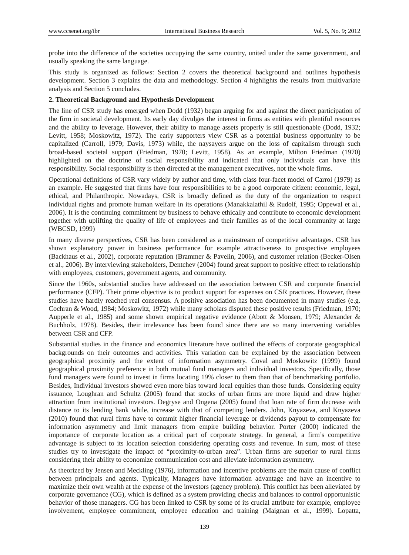probe into the difference of the societies occupying the same country, united under the same government, and usually speaking the same language.

This study is organized as follows: Section 2 covers the theoretical background and outlines hypothesis development. Section 3 explains the data and methodology. Section 4 highlights the results from multivariate analysis and Section 5 concludes.

## **2. Theoretical Background and Hypothesis Development**

The line of CSR study has emerged when Dodd (1932) began arguing for and against the direct participation of the firm in societal development. Its early day divulges the interest in firms as entities with plentiful resources and the ability to leverage. However, their ability to manage assets properly is still questionable (Dodd, 1932; Levitt, 1958; Moskowitz, 1972). The early supporters view CSR as a potential business opportunity to be capitalized (Carroll, 1979; Davis, 1973) while, the naysayers argue on the loss of capitalism through such broad-based societal support (Friedman, 1970; Levitt, 1958). As an example, Milton Friedman (1970) highlighted on the doctrine of social responsibility and indicated that only individuals can have this responsibility. Social responsibility is then directed at the management executives, not the whole firms.

Operational definitions of CSR vary widely by author and time, with class four-facet model of Carrol (1979) as an example. He suggested that firms have four responsibilities to be a good corporate citizen: economic, legal, ethical, and Philanthropic. Nowadays, CSR is broadly defined as the duty of the organization to respect individual rights and promote human welfare in its operations (Manakkalathil & Rudolf, 1995; Oppewal et al., 2006). It is the continuing commitment by business to behave ethically and contribute to economic development together with uplifting the quality of life of employees and their families as of the local community at large (WBCSD, 1999)

In many diverse perspectives, CSR has been considered as a mainstream of competitive advantages. CSR has shown explanatory power in business performance for example attractiveness to prospective employees (Backhaus et al., 2002), corporate reputation (Brammer & Pavelin, 2006), and customer relation (Becker-Olsen et al., 2006). By interviewing stakeholders, Dentchev (2004) found great support to positive effect to relationship with employees, customers, government agents, and community.

Since the 1960s, substantial studies have addressed on the association between CSR and corporate financial performance (CFP). Their prime objective is to product support for expenses on CSR practices. However, these studies have hardly reached real consensus. A positive association has been documented in many studies (e.g. Cochran & Wood, 1984; Moskowitz, 1972) while many scholars disputed these positive results (Friedman, 1970; Aupperle et al., 1985) and some shown empirical negative evidence (Abott & Monsen, 1979; Alexander & Buchholz, 1978). Besides, their irrelevance has been found since there are so many intervening variables between CSR and CFP.

Substantial studies in the finance and economics literature have outlined the effects of corporate geographical backgrounds on their outcomes and activities. This variation can be explained by the association between geographical proximity and the extent of information asymmetry. Coval and Moskowitz (1999) found geographical proximity preference in both mutual fund managers and individual investors. Specifically, those fund managers were found to invest in firms locating 19% closer to them than that of benchmarking portfolio. Besides, Individual investors showed even more bias toward local equities than those funds. Considering equity issuance, Loughran and Schultz (2005) found that stocks of urban firms are more liquid and draw higher attraction from institutional investors. Degryse and Ongena (2005) found that loan rate of firm decrease with distance to its lending bank while, increase with that of competing lenders. John, Knyazeva, and Knyazeva (2010) found that rural firms have to commit higher financial leverage or dividends payout to compensate for information asymmetry and limit managers from empire building behavior. Porter (2000) indicated the importance of corporate location as a critical part of corporate strategy. In general, a firm's competitive advantage is subject to its location selection considering operating costs and revenue. In sum, most of these studies try to investigate the impact of "proximity-to-urban area". Urban firms are superior to rural firms considering their ability to economize communication cost and alleviate information asymmetry.

As theorized by Jensen and Meckling (1976), information and incentive problems are the main cause of conflict between principals and agents. Typically, Managers have information advantage and have an incentive to maximize their own wealth at the expense of the investors (agency problem). This conflict has been alleviated by corporate governance (CG), which is defined as a system providing checks and balances to control opportunistic behavior of those managers. CG has been linked to CSR by some of its crucial attribute for example, employee involvement, employee commitment, employee education and training (Maignan et al., 1999). Lopatta,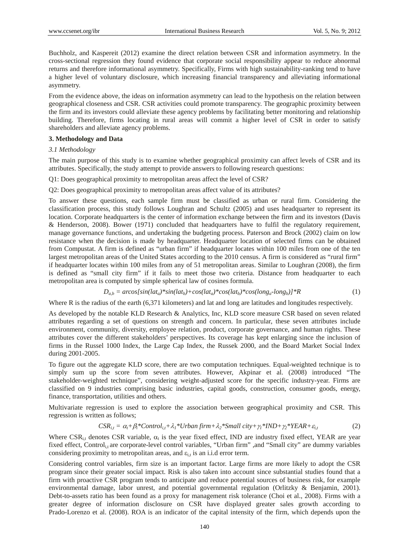Buchholz, and Kaspereit (2012) examine the direct relation between CSR and information asymmetry. In the cross-sectional regression they found evidence that corporate social responsibility appear to reduce abnormal returns and therefore informational asymmetry. Specifically, Firms with high sustainability-ranking tend to have a higher level of voluntary disclosure, which increasing financial transparency and alleviating informational asymmetry.

From the evidence above, the ideas on information asymmetry can lead to the hypothesis on the relation between geographical closeness and CSR. CSR activities could promote transparency. The geographic proximity between the firm and its investors could alleviate these agency problems by facilitating better monitoring and relationship building. Therefore, firms locating in rural areas will commit a higher level of CSR in order to satisfy shareholders and alleviate agency problems.

#### **3. Methodology and Data**

*3.1 Methodology* 

The main purpose of this study is to examine whether geographical proximity can affect levels of CSR and its attributes. Specifically, the study attempt to provide answers to following research questions:

Q1: Does geographical proximity to metropolitan areas affect the level of CSR?

Q2: Does geographical proximity to metropolitan areas affect value of its attributes?

To answer these questions, each sample firm must be classified as urban or rural firm. Considering the classification process, this study follows Loughran and Schultz (2005) and uses headquarter to represent its location. Corporate headquarters is the center of information exchange between the firm and its investors (Davis & Henderson, 2008). Bower (1971) concluded that headquarters have to fulfil the regulatory requirement, manage governance functions, and undertaking the budgeting process. Paterson and Brock (2002) claim on low resistance when the decision is made by headquarter. Headquarter location of selected firms can be obtained from Compustat. A firm is defined as "urban firm" if headquarter locates within 100 miles from one of the ten largest metropolitan areas of the United States according to the 2010 census. A firm is considered as "rural firm" if headquarter locates within 100 miles from any of 51 metropolitan areas. Similar to Loughran (2008), the firm is defined as "small city firm" if it fails to meet those two criteria. Distance from headquarter to each metropolitan area is computed by simple spherical law of cosines formula.

$$
D_{a,b} = \arcos[sin(lat_a) * sin(lat_b) + cos(lat_a) * cos(lat_b) * cos(long_a \text{-}long_b)] * R
$$
 (1)

Where R is the radius of the earth (6,371 kilometers) and lat and long are latitudes and longitudes respectively.

As developed by the notable KLD Research & Analytics, Inc, KLD score measure CSR based on seven related attributes regarding a set of questions on strength and concern. In particular, these seven attributes include environment, community, diversity, employee relation, product, corporate governance, and human rights. These attributes cover the different stakeholders' perspectives. Its coverage has kept enlarging since the inclusion of firms in the Russel 1000 Index, the Large Cap Index, the Russek 2000, and the Board Market Social Index during 2001-2005.

To figure out the aggregate KLD score, there are two computation techniques. Equal-weighted technique is to simply sum up the score from seven attributes. However, Akpinar et al. (2008) introduced "The stakeholder-weighted technique", considering weight-adjusted score for the specific industry-year. Firms are classified on 9 industries comprising basic industries, capital goods, construction, consumer goods, energy, finance, transportation, utilities and others.

Multivariate regression is used to explore the association between geographical proximity and CSR. This regression is written as follows;

$$
CSR_{i,t} = \alpha_t + \beta_i * Control_{i,t} + \lambda_1 * Urban\ firm + \lambda_2 * Small\ city + \gamma_1 * IND + \gamma_2 * YEAR + \varepsilon_{i,t}
$$
 (2)

Where  $CSR_{i,t}$  denotes CSR variable,  $\alpha_t$  is the year fixed effect, IND are industry fixed effect, YEAR are year fixed effect, Control<sub>i,t</sub> are corporate-level control variables, "Urban firm" ,and "Small city" are dummy variables considering proximity to metropolitan areas, and  $\varepsilon_{i,t}$  is an i.i.d error term.

Considering control variables, firm size is an important factor. Large firms are more likely to adopt the CSR program since their greater social impact. Risk is also taken into account since substantial studies found that a firm with proactive CSR program tends to anticipate and reduce potential sources of business risk, for example environmental damage, labor unrest, and potential governmental regulation (Orlitzky & Benjamin, 2001). Debt-to-assets ratio has been found as a proxy for management risk tolerance (Choi et al., 2008). Firms with a greater degree of information disclosure on CSR have displayed greater sales growth according to Prado-Lorenzo et al. (2008). ROA is an indicator of the capital intensity of the firm, which depends upon the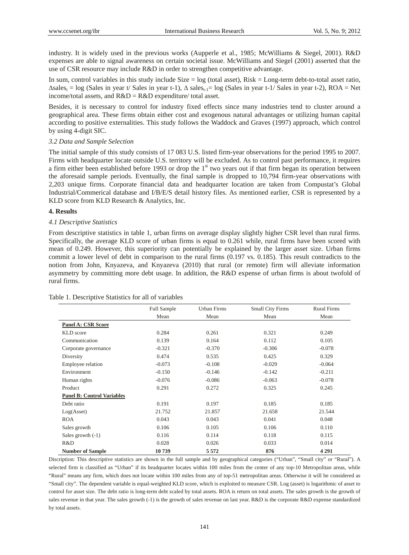industry. It is widely used in the previous works (Aupperle et al., 1985; McWilliams & Siegel, 2001). R&D expenses are able to signal awareness on certain societal issue. McWilliams and Siegel (2001) asserted that the use of CSR resource may include R&D in order to strengthen competitive advantage.

In sum, control variables in this study include  $Size = log$  (total asset),  $Risk = Long-term debt-to-total asset ratio$ ,  $\Delta$ sales<sub>t</sub> = log (Sales in year t/ Sales in year t-1),  $\Delta$  sales<sub>t-1</sub> = log (Sales in year t-1/ Sales in year t-2), ROA = Net income/total assets, and  $R&D = R&D$  expenditure/ total asset.

Besides, it is necessary to control for industry fixed effects since many industries tend to cluster around a geographical area. These firms obtain either cost and exogenous natural advantages or utilizing human capital according to positive externalities. This study follows the Waddock and Graves (1997) approach, which control by using 4-digit SIC.

### *3.2 Data and Sample Selection*

The initial sample of this study consists of 17 083 U.S. listed firm-year observations for the period 1995 to 2007. Firms with headquarter locate outside U.S. territory will be excluded. As to control past performance, it requires a firm either been established before 1993 or drop the  $1<sup>st</sup>$  two years out if that firm began its operation between the aforesaid sample periods. Eventually, the final sample is dropped to 10,794 firm-year observations with 2,203 unique firms. Corporate financial data and headquarter location are taken from Compustat's Global Industrial/Commerical database and I/B/E/S detail history files. As mentioned earlier, CSR is represented by a KLD score from KLD Research & Analytics, Inc.

## **4. Results**

## *4.1 Descriptive Statistics*

From descriptive statistics in table 1, urban firms on average display slightly higher CSR level than rural firms. Specifically, the average KLD score of urban firms is equal to 0.261 while, rural firms have been scored with mean of 0.249. However, this superiority can potentially be explained by the larger asset size. Urban firms commit a lower level of debt in comparison to the rural firms (0.197 vs. 0.185). This result contradicts to the notion from John, Knyazeva, and Knyazeva (2010) that rural (or remote) firm will alleviate information asymmetry by committing more debt usage. In addition, the R&D expense of urban firms is about twofold of rural firms.

#### Table 1. Descriptive Statistics for all of variables

|                                   | <b>Full Sample</b> | Urban Firms | <b>Small City Firms</b> | <b>Rural Firms</b> |
|-----------------------------------|--------------------|-------------|-------------------------|--------------------|
|                                   | Mean               | Mean        | Mean                    | Mean               |
| <b>Panel A: CSR Score</b>         |                    |             |                         |                    |
| KLD score                         | 0.284              | 0.261       | 0.321                   | 0.249              |
| Communication                     | 0.139              | 0.164       | 0.112                   | 0.105              |
| Corporate governance              | $-0.321$           | $-0.370$    | $-0.306$                | $-0.078$           |
| Diversity                         | 0.474              | 0.535       | 0.425                   | 0.329              |
| Employee relation                 | $-0.073$           | $-0.108$    | $-0.029$                | $-0.064$           |
| Environment                       | $-0.150$           | $-0.146$    | $-0.142$                | $-0.211$           |
| Human rights                      | $-0.076$           | $-0.086$    | $-0.063$                | $-0.078$           |
| Product                           | 0.291              | 0.272       | 0.325                   | 0.245              |
| <b>Panel B: Control Variables</b> |                    |             |                         |                    |
| Debt ratio                        | 0.191              | 0.197       | 0.185                   | 0.185              |
| Log(Asset)                        | 21.752             | 21.857      | 21.658                  | 21.544             |
| <b>ROA</b>                        | 0.043              | 0.043       | 0.041                   | 0.048              |
| Sales growth                      | 0.106              | 0.105       | 0.106                   | 0.110              |
| Sales growth $(-1)$               | 0.116              | 0.114       | 0.118                   | 0.115              |
| R&D                               | 0.028              | 0.026       | 0.033                   | 0.014              |
| <b>Number of Sample</b>           | 10739              | 5 5 7 2     | 876                     | 4 2 9 1            |

Discription: This descriptive statistics are shown in the full sample and by geographical categories ("Urban", "Small city" or "Rural"). A selected firm is classified as "Urban" if its headquarter locates within 100 miles from the center of any top-10 Metropolitan areas, while "Rural" means any firm, which does not locate within 100 miles from any of top-51 metropolitan areas. Otherwise it will be considered as "Small city". The dependent variable is equal-weighted KLD score, which is exploited to measure CSR. Log (asset) is logarithmic of asset to control for asset size. The debt ratio is long-term debt scaled by total assets. ROA is return on total assets. The sales growth is the growth of sales revenue in that year. The sales growth (-1) is the growth of sales revenue on last year. R&D is the corporate R&D expense standardized by total assets.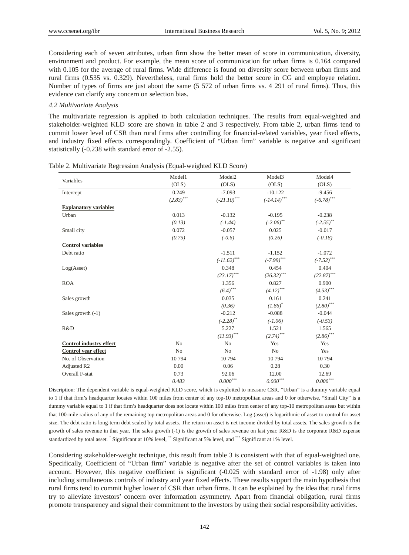Considering each of seven attributes, urban firm show the better mean of score in communication, diversity, environment and product. For example, the mean score of communication for urban firms is 0.164 compared with 0.105 for the average of rural firms. Wide difference is found on diversity score between urban firms and rural firms (0.535 vs. 0.329). Nevertheless, rural firms hold the better score in CG and employee relation. Number of types of firms are just about the same (5 572 of urban firms vs. 4 291 of rural firms). Thus, this evidence can clarify any concern on selection bias.

## *4.2 Multivariate Analysis*

The multivariate regression is applied to both calculation techniques. The results from equal-weighted and stakeholder-weighted KLD score are shown in table 2 and 3 respectively. From table 2, urban firms tend to commit lower level of CSR than rural firms after controlling for financial-related variables, year fixed effects, and industry fixed effects correspondingly. Coefficient of "Urban firm" variable is negative and significant statistically (-0.238 with standard error of -2.55).

| Variables                      | Model1                  | Model2                   | Model <sub>3</sub>      | Model4                  |
|--------------------------------|-------------------------|--------------------------|-------------------------|-------------------------|
|                                | (OLS)                   | (OLS)                    | (OLS)                   | (OLS)                   |
| Intercept                      | 0.249                   | $-7.093$                 | $-10.122$               | $-9.456$                |
|                                | $(2.83)$ <sup>***</sup> | $(-21.10)$ ***           | $(-14.14)$ ***          | $(-6.78)$ ***           |
| <b>Explanatory variables</b>   |                         |                          |                         |                         |
| Urban                          | 0.013                   | $-0.132$                 | $-0.195$                | $-0.238$                |
|                                | (0.13)                  | $(-1.44)$                | $(-2.06)$ **            | $(-2.55)^{**}$          |
| Small city                     | 0.072                   | $-0.057$                 | 0.025                   | $-0.017$                |
|                                | (0.75)                  | $(-0.6)$                 | (0.26)                  | $(-0.18)$               |
| <b>Control variables</b>       |                         |                          |                         |                         |
| Debt ratio                     |                         | $-1.511$                 | $-1.152$                | $-1.072$                |
|                                |                         | $(-11.62)$ ***           | $(-7.99)$ ***           | $(-7.52)$ ***           |
| Log(Asset)                     |                         | 0.348                    | 0.454                   | 0.404                   |
|                                |                         | $(23.17)$ ***            | $(26.32)$ ***           | $(22.87)$ ***           |
| <b>ROA</b>                     |                         | 1.356                    | 0.827                   | 0.900                   |
|                                |                         | $(6.4)$ <sup>***</sup>   | $(4.12)$ <sup>***</sup> | $(4.53)$ <sup>***</sup> |
| Sales growth                   |                         | 0.035                    | 0.161                   | 0.241                   |
|                                |                         | (0.36)                   | $(1.86)^*$              | $(2.80)$ ***            |
| Sales growth $(-1)$            |                         | $-0.212$                 | $-0.088$                | $-0.044$                |
|                                |                         | $(-2.28)$ **             | $(-1.06)$               | $(-0.53)$               |
| R&D                            |                         | 5.227                    | 1.521                   | 1.565                   |
|                                |                         | $(11.93)$ <sup>***</sup> | $(2.74)$ <sup>***</sup> | $(2.86)$ ***            |
| <b>Control industry effect</b> | N <sub>0</sub>          | N <sub>0</sub>           | Yes                     | Yes                     |
| Control year effect            | N <sub>0</sub>          | N <sub>0</sub>           | No                      | Yes                     |
| No. of Observation             | 10794                   | 10794                    | 10794                   | 10794                   |
| Adjusted R2                    | 0.00                    | 0.06                     | 0.28                    | 0.30                    |
| Overall F-stat                 | 0.73                    | 92.06                    | 12.00                   | 12.69                   |
|                                | 0.483                   | $0.000^{***}$            | $0.000^{***}$           | $0.000***$              |

Table 2. Multivariate Regression Analysis (Equal-weighted KLD Score)

Discription: The dependent variable is equal-weighted KLD score, which is exploited to measure CSR. "Urban" is a dummy variable equal to 1 if that firm's headquarter locates within 100 miles from center of any top-10 metropolitan areas and 0 for otherwise. "Small City" is a dummy variable equal to 1 if that firm's headquarter does not locate within 100 miles from center of any top-10 metropolitan areas but within that 100-mile radius of any of the remaining top metropolitan areas and 0 for otherwise. Log (asset) is logarithmic of asset to control for asset size. The debt ratio is long-term debt scaled by total assets. The return on asset is net income divided by total assets. The sales growth is the growth of sales revenue in that year. The sales growth (-1) is the growth of sales revenue on last year. R&D is the corporate R&D expense standardized by total asset. \* Significant at 10% level, \*\* Significant at 5% level, and \*\*\* Significant at 1% level.

Considering stakeholder-weight technique, this result from table 3 is consistent with that of equal-weighted one. Specifically, Coefficient of "Urban firm" variable is negative after the set of control variables is taken into account. However, this negative coefficient is significant (-0.025 with standard error of -1.98) only after including simultaneous controls of industry and year fixed effects. These results support the main hypothesis that rural firms tend to commit higher lower of CSR than urban firms. It can be explained by the idea that rural firms try to alleviate investors' concern over information asymmetry. Apart from financial obligation, rural firms promote transparency and signal their commitment to the investors by using their social responsibility activities.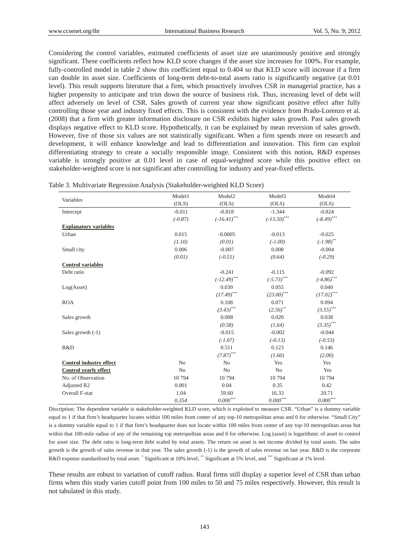Considering the control variables, estimated coefficients of asset size are unanimously positive and strongly significant. These coefficients reflect how KLD score changes if the asset size increases for 100%. For example, fully-controlled model in table 2 show this coefficient equal to 0.404 so that KLD score will increase if a firm can double its asset size. Coefficients of long-term debt-to-total assets ratio is significantly negative (at 0.01 level). This result supports literature that a firm, which proactively involves CSR in managerial practice, has a higher propensity to anticipate and trim down the source of business risk. Thus, increasing level of debt will affect adversely on level of CSR. Sales growth of current year show significant positive effect after fully controlling those year and industry fixed effects. This is consistent with the evidence from Prado-Lorenzo et al. (2008) that a firm with greater information disclosure on CSR exhibits higher sales growth. Past sales growth displays negative effect to KLD score. Hypothetically, it can be explained by mean reversion of sales growth. However, five of those six values are not statistically significant. When a firm spends more on research and development, it will enhance knowledge and lead to differentiation and innovation. This firm can exploit differentiating strategy to create a socially responsible image. Consistent with this notion, R&D expenses variable is strongly positive at 0.01 level in case of equal-weighted score while this positive effect on stakeholder-weighted score is not significant after controlling for industry and year-fixed effects.

|                                | Model1         | Model <sub>2</sub> | Model3          | Model4          |
|--------------------------------|----------------|--------------------|-----------------|-----------------|
| Variables                      | (OLS)          | (OLS)              | (OLS)           | (OLS)           |
| Intercept                      | $-0.011$       | $-0.818$           | $-1.344$        | $-0.824$        |
|                                | $(-0.87)$      | $(-16.41)$ ***     | $(-13.50)$ ***  | $(-8.49)$ ***   |
| <b>Explanatory variables</b>   |                |                    |                 |                 |
| Urban                          | 0.015          | $-0.0005$          | $-0.013$        | $-0.025$        |
|                                | (1.10)         | (0.01)             | $(-1.00)$       | $(-1.98)$ **    |
| Small city                     | 0.006          | $-0.007$           | 0.008           | $-0.004$        |
|                                | (0.01)         | $(-0.51)$          | (0.64)          | $(-0.29)$       |
| <b>Control variables</b>       |                |                    |                 |                 |
| Debt ratio                     |                | $-0.241$           | $-0.115$        | $-0.092$        |
|                                |                | $(-12.49)$ ***     | $(-5.73)$ ***   | $(-4.86)$ ***   |
| Log(Asset)                     |                | 0.039              | 0.055           | 0.040           |
|                                |                | $(17.49)$ ***      | $(23.00)$ ***   | $(17.02)$ ***   |
| <b>ROA</b>                     |                | 0.108              | 0.071           | 0.094           |
|                                |                | $(3.43)$ ***       | $(2.56)$ **     | $(.3.55)$ ***   |
| Sales growth                   |                | 0.008              | 0.020           | 0.038           |
|                                |                | (0.58)             | (1.64)          | $(3.35)$ ***    |
| Sales growth $(-1)$            |                | $-0.015$           | $-0.002$        | $-0.044$        |
|                                |                | $(-1.07)$          | $(-0.13)$       | $(-0.53)$       |
| R&D                            |                | 0.511              | 0.123           | 0.146           |
|                                |                | $(7.87)$ ***       | (1.60)          | (2.00)          |
| <b>Control industry effect</b> | N <sub>0</sub> | No                 | Yes             | Yes             |
| <b>Control yearly effect</b>   | N <sub>o</sub> | N <sub>0</sub>     | No              | Yes             |
| No. of Observation             | 10794          | 10794              | 10794           | 10794           |
| Adjusted R2                    | 0.001          | 0.04               | 0.35            | 0.42            |
| Overall F-stat                 | 1.04           | 59.60              | 16.33           | 20.71           |
|                                | 0.354          | $0.000***$         | $0.000^{***}\,$ | $0.000^{***}\,$ |

Table 3. Multivariate Regression Analysis (Stakeholder-weighted KLD Score)

Discription: The dependent variable is stakeholder-weighted KLD score, which is exploited to measure CSR. "Urban" is a dummy variable equal to 1 if that firm's headquarter locates within 100 miles from center of any top-10 metropolitan areas and 0 for otherwise. "Small City" is a dummy variable equal to 1 if that firm's headquarter does not locate within 100 miles from center of any top-10 metropolitan areas but within that 100-mile radius of any of the remaining top metropolitan areas and 0 for otherwise. Log (asset) is logarithmic of asset to control for asset size. The debt ratio is long-term debt scaled by total assets. The return on asset is net income divided by total assets. The sales growth is the growth of sales revenue in that year. The sales growth (-1) is the growth of sales revenue on last year. R&D is the corporate R&D expense standardized by total asset. \* Significant at 10% level, \*\* Significant at 5% level, and \*\*\* Significant at 1% level.

These results are robust to variation of cutoff radius. Rural firms still display a superior level of CSR than urban firms when this study varies cutoff point from 100 miles to 50 and 75 miles respectively. However, this result is not tabulated in this study.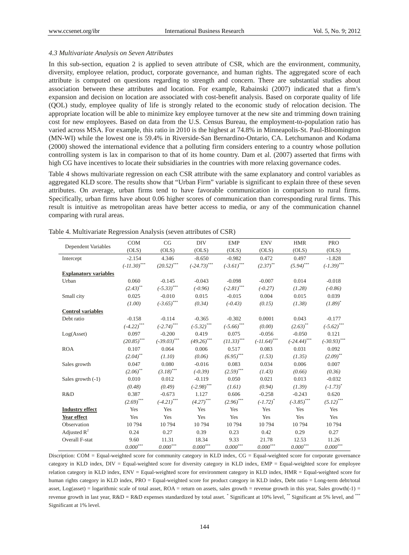#### *4.3 Multivariate Analysis on Seven Attributes*

In this sub-section, equation 2 is applied to seven attribute of CSR, which are the environment, community, diversity, employee relation, product, corporate governance, and human rights. The aggregated score of each attribute is computed on questions regarding to strength and concern. There are substantial studies about association between these attributes and location. For example, Rabainski (2007) indicated that a firm's expansion and decision on location are associated with cost-benefit analysis. Based on corporate quality of life (QOL) study, employee quality of life is strongly related to the economic study of relocation decision. The appropriate location will be able to minimize key employee turnover at the new site and trimming down training cost for new employees. Based on data from the U.S. Census Bureau, the employment-to-population ratio has varied across MSA. For example, this ratio in 2010 is the highest at 74.8% in Minneapolis-St. Paul-Bloomington (MN-WI) while the lowest one is 59.4% in Riverside-San Bernardino-Ontario, CA. Letchumanon and Kodama (2000) showed the international evidence that a polluting firm considers entering to a country whose pollution controlling system is lax in comparison to that of its home country. Dam et al. (2007) asserted that firms with high CG have incentives to locate their subsidiaries in the countries with more relaxing governance codes.

Table 4 shows multivariate regression on each CSR attribute with the same explanatory and control variables as aggregated KLD score. The results show that "Urban Firm" variable is significant to explain three of these seven attributes. On average, urban firms tend to have favorable communication in comparison to rural firms. Specifically, urban firms have about 0.06 higher scores of communication than corresponding rural firms. This result is intuitive as metropolitan areas have better access to media, or any of the communication channel comparing with rural areas.

|                              | <b>COM</b>              | CG                                      | <b>DIV</b>                | <b>EMP</b>                                      | <b>ENV</b>      | <b>HMR</b>               | <b>PRO</b>               |
|------------------------------|-------------------------|-----------------------------------------|---------------------------|-------------------------------------------------|-----------------|--------------------------|--------------------------|
| Dependent Variables          | (OLS)                   | (OLS)                                   | (OLS)                     | (OLS)                                           | (OLS)           | (OLS)                    | (OLS)                    |
| Intercept                    | $-2.154$                | 4.346                                   | $-8.650$                  | $-0.982$                                        | 0.472           | 0.497                    | $-1.828$                 |
|                              | ${(-11.30)}^{***}$      | $(20.52)$ ***                           | $(-24.73)$ ***            | $\left( \text{-3.61}\right) ^{\ast \ast \ast }$ | $(2.37)$ **     | $(5.94)$ ***             | $(-1.39)$ ***            |
| <b>Explanatory variables</b> |                         |                                         |                           |                                                 |                 |                          |                          |
| Urban                        | 0.060                   | $-0.145$                                | $-0.043$                  | $-0.098$                                        | $-0.007$        | 0.014                    | $-0.018$                 |
|                              | $(2.43)$ <sup>**</sup>  | $(-5.33)^{***}$                         | $(-0.96)$                 | $(-2.81)$ ***                                   | $(-0.27)$       | (1.28)                   | $(-0.86)$                |
| Small city                   | 0.025                   | $-0.010$                                | 0.015                     | $-0.015$                                        | 0.004           | 0.015                    | 0.039                    |
|                              | (1.00)                  | $(-3.65)$ ***                           | (0.34)                    | $(-0.43)$                                       | (0.15)          | (1.38)                   | $(1.89)^{*}$             |
| <b>Control variables</b>     |                         |                                         |                           |                                                 |                 |                          |                          |
| Debt ratio                   | $-0.158$                | $-0.114$                                | $-0.365$                  | $-0.302$                                        | 0.0001          | 0.043                    | $-0.177$                 |
|                              | $(-4.22)$ ***           | $(-2.74)$ ***                           | $(-5.32)$ ***             | $(-5.66)$ ***                                   | (0.00)          | $(2.63)$ <sup>**</sup>   | $(-5.62)$ ***            |
| Log(Asset)                   | 0.097                   | $-0.200$                                | 0.419                     | 0.075                                           | $-0.056$        | $-0.050$                 | 0.121                    |
|                              | $(20.85)$ ***           | $(-39.03)$ ***                          | $(49.26)$ ***             | $(11.33)$ <sup>***</sup>                        | $(-11.64)$ ***  | $(-24.44)$ ***           | $(-30.93)$ ***           |
| <b>ROA</b>                   | 0.107                   | 0.064                                   | 0.006                     | 0.517                                           | 0.083           | 0.031                    | 0.092                    |
|                              | $(2.04)$ **             | (1.10)                                  | (0.06)                    | $(6.95)$ ***                                    | (1.53)          | (1.35)                   | $(2.09)$ <sup>**</sup>   |
| Sales growth                 | 0.047                   | 0.080                                   | $-0.016$                  | 0.083                                           | 0.034           | 0.006                    | 0.007                    |
|                              | $(2.06)$ **             | $\left( 3.18\right) ^{\ast \ast \ast }$ | $(-0.39)$                 | $(2.59)$ ***                                    | (1.43)          | (0.66)                   | (0.36)                   |
| Sales growth $(-1)$          | 0.010                   | 0.012                                   | $-0.119$                  | 0.050                                           | 0.021           | 0.013                    | $-0.032$                 |
|                              | (0.48)                  | (0.49)                                  | $(-2.98)$ ***             | (1.61)                                          | (0.94)          | (1.39)                   | $(-1.73)^{*}$            |
| R&D                          | 0.387                   | $-0.673$                                | 1.127                     | 0.606                                           | $-0.258$        | $-0.243$                 | 0.620                    |
|                              | $(2.69)$ <sup>***</sup> | $(-4.21)$ ***                           | $\left(4.27\right)^{***}$ | $(2.96)$ ***                                    | $(-1.72)^{*}$   | $(-3.85)$ <sup>***</sup> | $(5.12)$ <sup>***</sup>  |
| <b>Industry effect</b>       | Yes                     | Yes                                     | Yes                       | Yes                                             | Yes             | Yes                      | Yes                      |
| Year effect                  | Yes                     | Yes                                     | Yes                       | Yes                                             | Yes             | Yes                      | Yes                      |
| Observation                  | 10794                   | 10794                                   | 10794                     | 10794                                           | 10794           | 10794                    | 10794                    |
| Adjusted $R^2$               | 0.24                    | 0.27                                    | 0.39                      | 0.23                                            | 0.42            | 0.29                     | 0.27                     |
| Overall F-stat               | 9.60                    | 11.31                                   | 18.34                     | 9.33                                            | 21.78           | 12.53                    | 11.26                    |
|                              | $0.000^{***}$           | ${0.000}^{\ast\ast\ast}$                | $0.000^{\ast\ast\ast}$    | $0.000***$                                      | $0.000^{***}\,$ | $0.000^{***}\,$          | ${0.000}^{\ast\ast\ast}$ |

|  | Table 4. Multivariate Regression Analysis (seven attributes of CSR) |  |  |
|--|---------------------------------------------------------------------|--|--|
|  |                                                                     |  |  |

Discription: COM = Equal-weighted score for community category in KLD index, CG = Equal-weighted score for corporate governance category in KLD index, DIV = Equal-weighted score for diversity category in KLD index, EMP = Equal-weighted score for employee relation category in KLD index, ENV = Equal-weighted score for environment category in KLD index, HMR = Equal-weighted score for human rights category in KLD index, PRO = Equal-weighted score for product category in KLD index, Debt ratio = Long-term debt/total asset, Log(asset) = logarithmic scale of total asset, ROA = return on assets, sales growth = revenue growth in this year, Sales growth(-1) = revenue growth in last year,  $R&D = R&D$  expenses standardized by total asset.  $\degree$  Significant at 10% level,  $\degree$  Significant at 5% level, and  $\degree$ Significant at 1% level.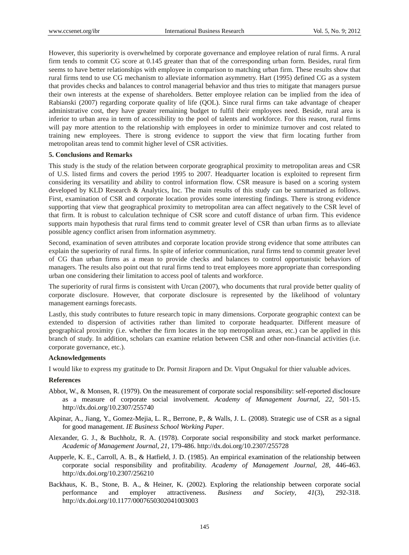However, this superiority is overwhelmed by corporate governance and employee relation of rural firms. A rural firm tends to commit CG score at 0.145 greater than that of the corresponding urban form. Besides, rural firm seems to have better relationships with employee in comparison to matching urban firm. These results show that rural firms tend to use CG mechanism to alleviate information asymmetry. Hart (1995) defined CG as a system that provides checks and balances to control managerial behavior and thus tries to mitigate that managers pursue their own interests at the expense of shareholders. Better employee relation can be implied from the idea of Rabianski (2007) regarding corporate quality of life (QOL). Since rural firms can take advantage of cheaper administrative cost, they have greater remaining budget to fulfil their employees need. Beside, rural area is inferior to urban area in term of accessibility to the pool of talents and workforce. For this reason, rural firms will pay more attention to the relationship with employees in order to minimize turnover and cost related to training new employees. There is strong evidence to support the view that firm locating further from metropolitan areas tend to commit higher level of CSR activities.

#### **5. Conclusions and Remarks**

This study is the study of the relation between corporate geographical proximity to metropolitan areas and CSR of U.S. listed firms and covers the period 1995 to 2007. Headquarter location is exploited to represent firm considering its versatility and ability to control information flow. CSR measure is based on a scoring system developed by KLD Research & Analytics, Inc. The main results of this study can be summarized as follows. First, examination of CSR and corporate location provides some interesting findings. There is strong evidence supporting that view that geographical proximity to metropolitan area can affect negatively to the CSR level of that firm. It is robust to calculation technique of CSR score and cutoff distance of urban firm. This evidence supports main hypothesis that rural firms tend to commit greater level of CSR than urban firms as to alleviate possible agency conflict arisen from information asymmetry.

Second, examination of seven attributes and corporate location provide strong evidence that some attributes can explain the superiority of rural firms. In spite of inferior communication, rural firms tend to commit greater level of CG than urban firms as a mean to provide checks and balances to control opportunistic behaviors of managers. The results also point out that rural firms tend to treat employees more appropriate than corresponding urban one considering their limitation to access pool of talents and workforce.

The superiority of rural firms is consistent with Urcan (2007), who documents that rural provide better quality of corporate disclosure. However, that corporate disclosure is represented by the likelihood of voluntary management earnings forecasts.

Lastly, this study contributes to future research topic in many dimensions. Corporate geographic context can be extended to dispersion of activities rather than limited to corporate headquarter. Different measure of geographical proximity (i.e. whether the firm locates in the top metropolitan areas, etc.) can be applied in this branch of study. In addition, scholars can examine relation between CSR and other non-financial activities (i.e. corporate governance, etc.).

## **Acknowledgements**

I would like to express my gratitude to Dr. Pornsit Jiraporn and Dr. Viput Ongsakul for thier valuable advices.

#### **References**

- Abbot, W., & Monsen, R. (1979). On the measurement of corporate social responsibility: self-reported disclosure as a measure of corporate social involvement. *Academy of Management Journal*, *22*, 501-15. http://dx.doi.org/10.2307/255740
- Akpinar, A., Jiang, Y., Gomez-Mejia, L. R., Berrone, P., & Walls, J. L. (2008). Strategic use of CSR as a signal for good management. *IE Business School Working Paper*.
- Alexander, G. J., & Buchholz, R. A. (1978). Corporate social responsibility and stock market performance. *Academic of Management Journal*, *21*, 179-486. http://dx.doi.org/10.2307/255728
- Aupperle, K. E., Carroll, A. B., & Hatfield, J. D. (1985). An empirical examination of the relationship between corporate social responsibility and profitability. *Academy of Management Journal, 28*, 446-463. http://dx.doi.org/10.2307/256210
- Backhaus, K. B., Stone, B. A., & Heiner, K. (2002). Exploring the relationship between corporate social performance and employer attractiveness. *Business and Society*, *41*(3), 292-318. http://dx.doi.org/10.1177/0007650302041003003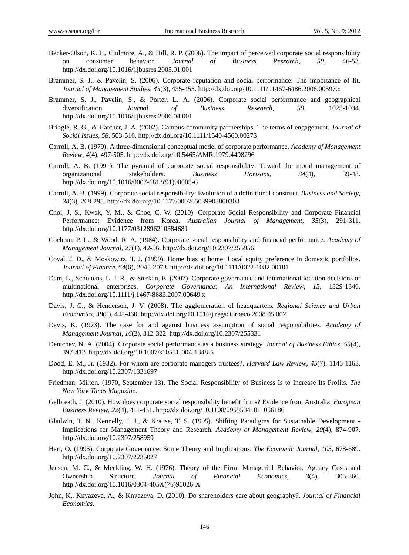- Becker-Olson, K. L., Cudmore, A., & Hill, R. P. (2006). The impact of perceived corporate social responsibility on consumer behavior. *Journal of Business Research*, *59*, 46-53. http://dx.doi.org/10.1016/j.jbusres.2005.01.001
- Brammer, S. J., & Pavelin, S. (2006). Corporate reputation and social performance: The importance of fit. *Journal of Management Studies*, *43*(3), 435-455. http://dx.doi.org/10.1111/j.1467-6486.2006.00597.x
- Brammer, S. J., Pavelin, S., & Porter, L. A. (2006). Corporate social performance and geographical diversification. *Journal of Business Research*, *59*, 1025-1034. http://dx.doi.org/10.1016/j.jbusres.2006.04.001
- Bringle, R. G., & Hatcher, J. A. (2002). Campus-community partnerships: The terms of engagement. *Journal of Social Issues, 58*, 503-516. http://dx.doi.org/10.1111/1540-4560.00273
- Carroll, A. B. (1979). A three-dimensional conceptual model of corporate performance. *Academy of Management Review*, *4*(4), 497-505. http://dx.doi.org/10.5465/AMR.1979.4498296
- Carroll, A. B. (1991). The pyramid of corporate social responsibility: Toward the moral management of organizational stakeholders. *Business Horizons*, *34*(4), 39-48. http://dx.doi.org/10.1016/0007-6813(91)90005-G
- Carroll, A. B. (1999). Corporate social responsibility: Evolution of a definitional construct. *Business and Society*, *38*(3), 268-295. http://dx.doi.org/10.1177/000765039903800303
- Choi, J. S., Kwak, Y. M., & Choe, C. W. (2010). Corporate Social Responsibility and Corporate Financial Performance: Evidence from Korea. *Australian Journal of Management*, *35*(3), 291-311. http://dx.doi.org/10.1177/0312896210384681
- Cochran, P. L., & Wood, R. A. (1984). Corporate social responsibility and financial performance. *Academy of Management Journal*, *27*(1), 42-56. http://dx.doi.org/10.2307/255956
- Coval, J. D., & Moskowitz, T. J. (1999). Home bias at home: Local equity preference in domestic portfolios. *Journal of Finance*, *54*(6), 2045-2073. http://dx.doi.org/10.1111/0022-1082.00181
- Dam, L., Scholtens, L. J. R., & Sterken, E. (2007). Corporate governance and international location decisions of multinational enterprises. *Corporate Governance: An International Review*, *15*, 1329-1346. http://dx.doi.org/10.1111/j.1467-8683.2007.00649.x
- Davis, J. C., & Henderson, J. V. (2008). The agglomeration of headquarters. *Regional Science and Urban Economics*, *38*(5), 445-460. http://dx.doi.org/10.1016/j.regsciurbeco.2008.05.002
- Davis, K. (1973). The case for and against business assumption of social responsibilities. *Academy of Management Journal*, *16*(2), 312-322. http://dx.doi.org/10.2307/255331
- Dentchev, N. A. (2004). Corporate social performance as a business strategy. *Journal of Business Ethics*, *55*(4), 397-412. http://dx.doi.org/10.1007/s10551-004-1348-5
- Dodd, E. M., Jr. (1932). For whom are corporate managers trustees?. *Harvard Law Review*, *45*(7), 1145-1163. http://dx.doi.org/10.2307/1331697
- Friedman, Milton. (1970, September 13). The Social Responsibility of Business Is to Increase Its Profits. *The New York Times Magazine*.
- Galbreath, J. (2010). How does corporate social responsibility benefit firms? Evidence from Australia. *European Business Review*, *22*(4), 411-431. http://dx.doi.org/10.1108/09555341011056186
- Gladwin, T. N., Kennelly, J. J., & Krause, T. S. (1995). Shifting Paradigms for Sustainable Development Implications for Management Theory and Research. *Academy of Management Review*, *20*(4), 874-907. http://dx.doi.org/10.2307/258959
- Hart, O. (1995). Corporate Governance: Some Theory and Implications. *The Economic Journal*, *105*, 678-689. http://dx.doi.org/10.2307/2235027
- Jensen, M. C., & Meckling, W. H. (1976). Theory of the Firm: Managerial Behavior, Agency Costs and Ownership Structure. *Journal of Financial Economics*, *3*(4), 305-360. http://dx.doi.org/10.1016/0304-405X(76)90026-X
- John, K., Knyazeva, A., & Knyazeva, D. (2010). Do shareholders care about geography?. *Journal of Financial Economics*.